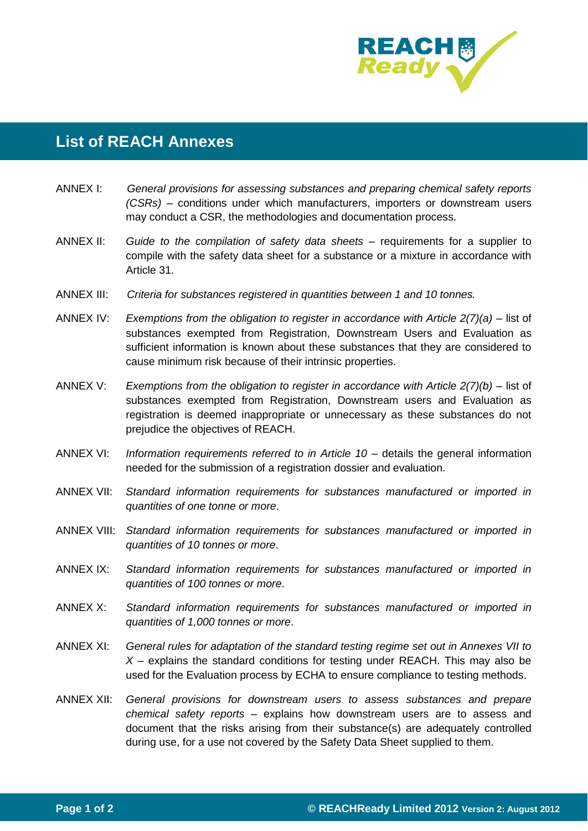

## **List of REACH Annexes**

- ANNEX I: *General provisions for assessing substances and preparing chemical safety reports (CSRs)* – conditions under which manufacturers, importers or downstream users may conduct a CSR, the methodologies and documentation process.
- ANNEX II: *Guide to the compilation of safety data sheets* requirements for a supplier to compile with the safety data sheet for a substance or a mixture in accordance with Article 31.
- ANNEX III: *Criteria for substances registered in quantities between 1 and 10 tonnes.*
- ANNEX IV: *Exemptions from the obligation to register in accordance with Article 2(7)(a)* list of substances exempted from Registration, Downstream Users and Evaluation as sufficient information is known about these substances that they are considered to cause minimum risk because of their intrinsic properties.
- ANNEX V: *Exemptions from the obligation to register in accordance with Article 2(7)(b)* list of substances exempted from Registration, Downstream users and Evaluation as registration is deemed inappropriate or unnecessary as these substances do not prejudice the objectives of REACH.
- ANNEX VI: *Information requirements referred to in Article 10* details the general information needed for the submission of a registration dossier and evaluation.
- ANNEX VII: *Standard information requirements for substances manufactured or imported in quantities of one tonne or more*.
- ANNEX VIII: *Standard information requirements for substances manufactured or imported in quantities of 10 tonnes or more*.
- ANNEX IX: *Standard information requirements for substances manufactured or imported in quantities of 100 tonnes or more*.
- ANNEX X: *Standard information requirements for substances manufactured or imported in quantities of 1,000 tonnes or more*.
- ANNEX XI: *General rules for adaptation of the standard testing regime set out in Annexes VII to X* – explains the standard conditions for testing under REACH. This may also be used for the Evaluation process by ECHA to ensure compliance to testing methods.
- ANNEX XII: *General provisions for downstream users to assess substances and prepare chemical safety reports* – explains how downstream users are to assess and document that the risks arising from their substance(s) are adequately controlled during use, for a use not covered by the Safety Data Sheet supplied to them.